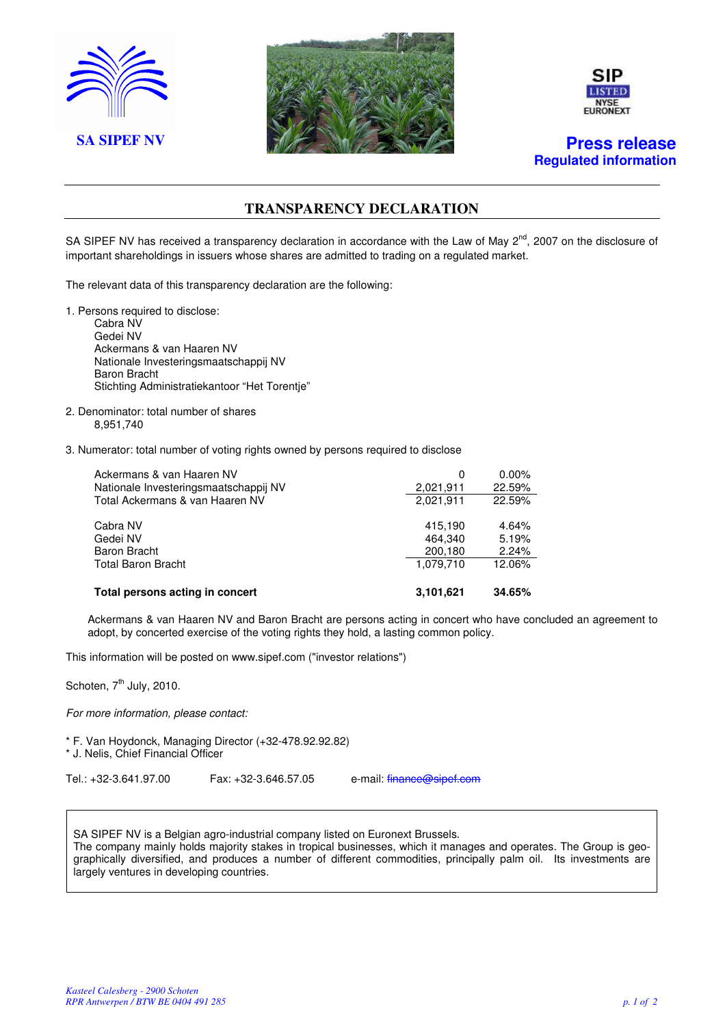





**Regulated information** 

### **TRANSPARENCY DECLARATION**

SA SIPEF NV has received a transparency declaration in accordance with the Law of May  $2^{nd}$ , 2007 on the disclosure of important shareholdings in issuers whose shares are admitted to trading on a regulated market.

The relevant data of this transparency declaration are the following:

- 1. Persons required to disclose: Cabra NV Gedei NV Ackermans & van Haaren NV Nationale Investeringsmaatschappij NV Baron Bracht Stichting Administratiekantoor "Het Torentje"
- 2. Denominator: total number of shares 8,951,740

#### 3. Numerator: total number of voting rights owned by persons required to disclose

| Ackermans & van Haaren NV<br>Nationale Investeringsmaatschappij NV | 0<br>2,021,911 | $0.00\%$<br>22.59% |
|--------------------------------------------------------------------|----------------|--------------------|
| Total Ackermans & van Haaren NV                                    | 2.021.911      | 22.59%             |
| Cabra NV                                                           | 415.190        | 4.64%              |
| Gedei NV                                                           | 464.340        | 5.19%              |
| Baron Bracht                                                       | 200,180        | 2.24%              |
| <b>Total Baron Bracht</b>                                          | 1.079.710      | 12.06%             |
| Total persons acting in concert                                    | 3,101,621      | 34.65%             |

Ackermans & van Haaren NV and Baron Bracht are persons acting in concert who have concluded an agreement to adopt, by concerted exercise of the voting rights they hold, a lasting common policy.

This information will be posted on www.sipef.com ("investor relations")

Schoten,  $7<sup>th</sup>$  July, 2010.

For more information, please contact:

\* F. Van Hoydonck, Managing Director (+32-478.92.92.82) \* J. Nelis, Chief Financial Officer

Tel.: +32-3.641.97.00 Fax: +32-3.646.57.05 e-mail: finance@sipef.com

SA SIPEF NV is a Belgian agro-industrial company listed on Euronext Brussels. The company mainly holds majority stakes in tropical businesses, which it manages and operates. The Group is geographically diversified, and produces a number of different commodities, principally palm oil. Its investments are largely ventures in developing countries.